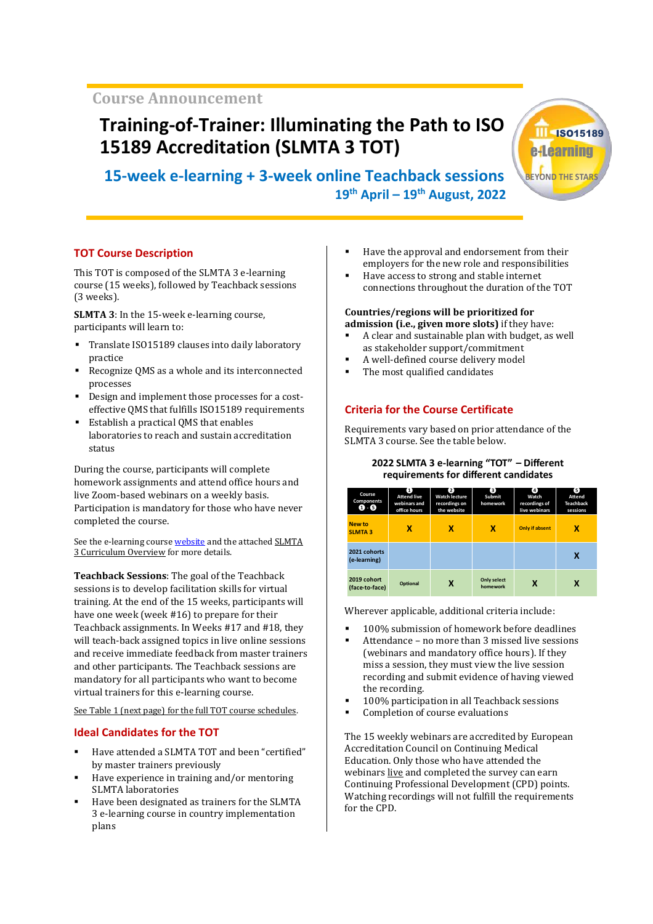**Course Announcement**

# **Training-of-Trainer: Illuminating the Path to ISO 15189 Accreditation (SLMTA 3 TOT)**

 **15-week e-learning + 3-week online Teachback sessions 19th April ʹ 19th August, 2022**

## **TOT Course Description**

This TOT is composed of the SLMTA 3 e-learning course (15 weeks), followed by Teachback sessions (3 weeks).

**SLMTA 3**: In the 15-week e-learning course, participants will learn to:

- Translate ISO15189 clauses into daily laboratory practice
- Recognize QMS as a whole and its interconnected processes
- Design and implement those processes for a costeffective QMS that fulfills ISO15189 requirements
- Establish a practical QMS that enables laboratories to reach and sustain accreditation status

During the course, participants will complete homework assignments and attend office hours and live Zoom-based webinars on a weekly basis. Participation is mandatory for those who have never completed the course.

[See the e-learning course](https://slmta.org/uploads/events/SLMTA 3 CURRICULUM OVERVIEW.pdf) [websit](https://slmta.org/learning)[e](https://slmta.org/uploads/events/SLMTA 3 CURRICULUM OVERVIEW.pdf) and the attached SLMTA 3 Curriculum Overview for more details.

**Teachback Sessions**: The goal of the Teachback sessions is to develop facilitation skills for virtual training. At the end of the 15 weeks, participants will have one week (week #16) to prepare for their Teachback assignments. In Weeks #17 and #18, they will teach-back assigned topics in live online sessions and receive immediate feedback from master trainers and other participants. The Teachback sessions are mandatory for all participants who want to become virtual trainers for this e-learning course*.*

See Table 1 (next page) for the full TOT course schedules.

## **Ideal Candidates for the TOT**

- Have attended a SLMTA TOT and been "certified" by master trainers previously
- Have experience in training and/or mentoring SLMTA laboratories
- Have been designated as trainers for the SLMTA 3 e-learning course in country implementation plans
- Have the approval and endorsement from their employers for the new role and responsibilities
- Have access to strong and stable internet connections throughout the duration of the TOT

#### **Countries/regions will be prioritized for admission (i.e., given more slots)** if they have:

- A clear and sustainable plan with budget, as well as stakeholder support/commitment
- A well-defined course delivery model
- The most qualified candidates

## **Criteria for the Course Certificate**

Requirements vary based on prior attendance of the SLMTA 3 course. See the table below.

### **2022 SLMTA 3 e-learning "TOT" - Different** requirements for different candidates

| Course<br>Components<br>0 0     | 0<br><b>Attend live</b><br>webinars and<br>office hours | 2<br><b>Watch lecture</b><br>recordings on<br>the website | 3)<br>Submit<br>homework       | O)<br>Watch<br>recordings of<br>live webinars | 6)<br>Attend<br><b>Teachback</b><br>sessions |
|---------------------------------|---------------------------------------------------------|-----------------------------------------------------------|--------------------------------|-----------------------------------------------|----------------------------------------------|
| <b>New to</b><br><b>SLMTA 3</b> | x                                                       | x                                                         | x                              | <b>Only if absent</b>                         | x                                            |
| 2021 cohorts<br>(e-learning)    |                                                         |                                                           |                                |                                               | x                                            |
| 2019 cohort<br>(face-to-face)   | Optional                                                | X                                                         | <b>Only select</b><br>homework | x                                             | x                                            |

Wherever applicable, additional criteria include:

- 100% submission of homework before deadlines
- Attendance no more than 3 missed live sessions (webinars and mandatory office hours). If they miss a session, they must view the live session recording and submit evidence of having viewed the recording.
- 100% participation in all Teachback sessions
- Completion of course evaluations

The 15 weekly webinars are accredited by European Accreditation Council on Continuing Medical Education. Only those who have attended the webinars live and completed the survey can earn Continuing Professional Development (CPD) points. Watching recordings will not fulfill the requirements for the CPD.